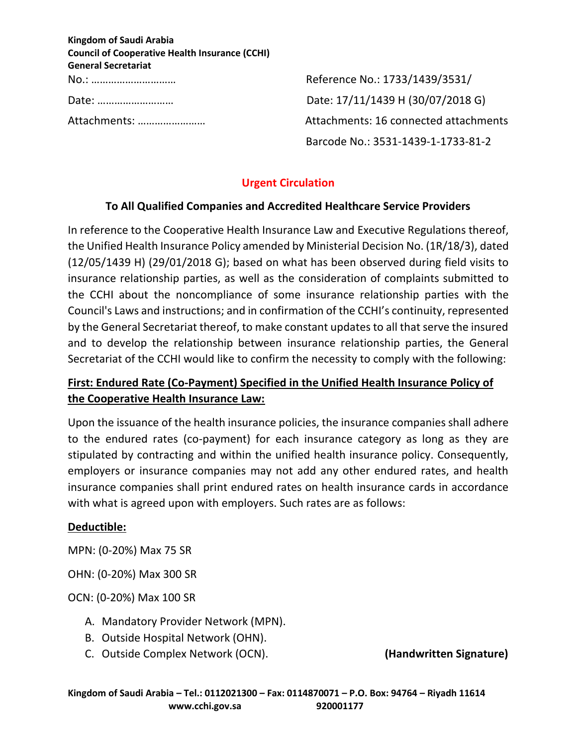| <b>Kingdom of Saudi Arabia</b>                        |
|-------------------------------------------------------|
| <b>Council of Cooperative Health Insurance (CCHI)</b> |
| <b>General Secretariat</b>                            |
| No.:                                                  |
| Date:                                                 |
| Attachments:                                          |

No.: ………………………… Reference No.: 1733/1439/3531/ Date: 17/11/1439 H (30/07/2018 G) Attachments: 16 connected attachments Barcode No.: 3531-1439-1-1733-81-2

### **Urgent Circulation**

#### **To All Qualified Companies and Accredited Healthcare Service Providers**

In reference to the Cooperative Health Insurance Law and Executive Regulations thereof, the Unified Health Insurance Policy amended by Ministerial Decision No. (1R/18/3), dated (12/05/1439 H) (29/01/2018 G); based on what has been observed during field visits to insurance relationship parties, as well as the consideration of complaints submitted to the CCHI about the noncompliance of some insurance relationship parties with the Council's Laws and instructions; and in confirmation of the CCHI's continuity, represented by the General Secretariat thereof, to make constant updates to all that serve the insured and to develop the relationship between insurance relationship parties, the General Secretariat of the CCHI would like to confirm the necessity to comply with the following:

# **First: Endured Rate (Co-Payment) Specified in the Unified Health Insurance Policy of the Cooperative Health Insurance Law:**

Upon the issuance of the health insurance policies, the insurance companies shall adhere to the endured rates (co-payment) for each insurance category as long as they are stipulated by contracting and within the unified health insurance policy. Consequently, employers or insurance companies may not add any other endured rates, and health insurance companies shall print endured rates on health insurance cards in accordance with what is agreed upon with employers. Such rates are as follows:

#### **Deductible:**

MPN: (0-20%) Max 75 SR

OHN: (0-20%) Max 300 SR

OCN: (0-20%) Max 100 SR

- A. Mandatory Provider Network (MPN).
- B. Outside Hospital Network (OHN).
- C. Outside Complex Network (OCN). **(Handwritten Signature)**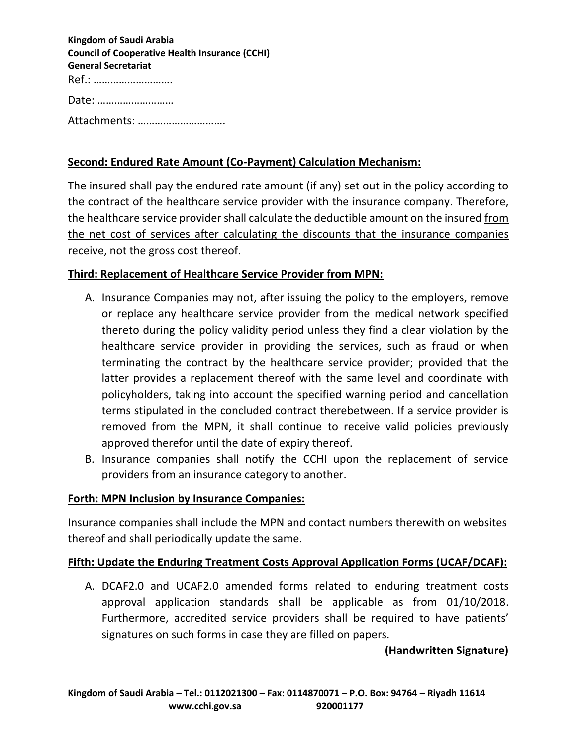| <b>Kingdom of Saudi Arabia</b>                        |
|-------------------------------------------------------|
| <b>Council of Cooperative Health Insurance (CCHI)</b> |
| <b>General Secretariat</b>                            |
| Ref.:                                                 |
| Date:                                                 |
| Attachments:                                          |

### **Second: Endured Rate Amount (Co-Payment) Calculation Mechanism:**

The insured shall pay the endured rate amount (if any) set out in the policy according to the contract of the healthcare service provider with the insurance company. Therefore, the healthcare service provider shall calculate the deductible amount on the insured from the net cost of services after calculating the discounts that the insurance companies receive, not the gross cost thereof.

#### **Third: Replacement of Healthcare Service Provider from MPN:**

- A. Insurance Companies may not, after issuing the policy to the employers, remove or replace any healthcare service provider from the medical network specified thereto during the policy validity period unless they find a clear violation by the healthcare service provider in providing the services, such as fraud or when terminating the contract by the healthcare service provider; provided that the latter provides a replacement thereof with the same level and coordinate with policyholders, taking into account the specified warning period and cancellation terms stipulated in the concluded contract therebetween. If a service provider is removed from the MPN, it shall continue to receive valid policies previously approved therefor until the date of expiry thereof.
- B. Insurance companies shall notify the CCHI upon the replacement of service providers from an insurance category to another.

#### **Forth: MPN Inclusion by Insurance Companies:**

Insurance companies shall include the MPN and contact numbers therewith on websites thereof and shall periodically update the same.

#### **Fifth: Update the Enduring Treatment Costs Approval Application Forms (UCAF/DCAF):**

A. DCAF2.0 and UCAF2.0 amended forms related to enduring treatment costs approval application standards shall be applicable as from 01/10/2018. Furthermore, accredited service providers shall be required to have patients' signatures on such forms in case they are filled on papers.

#### **(Handwritten Signature)**